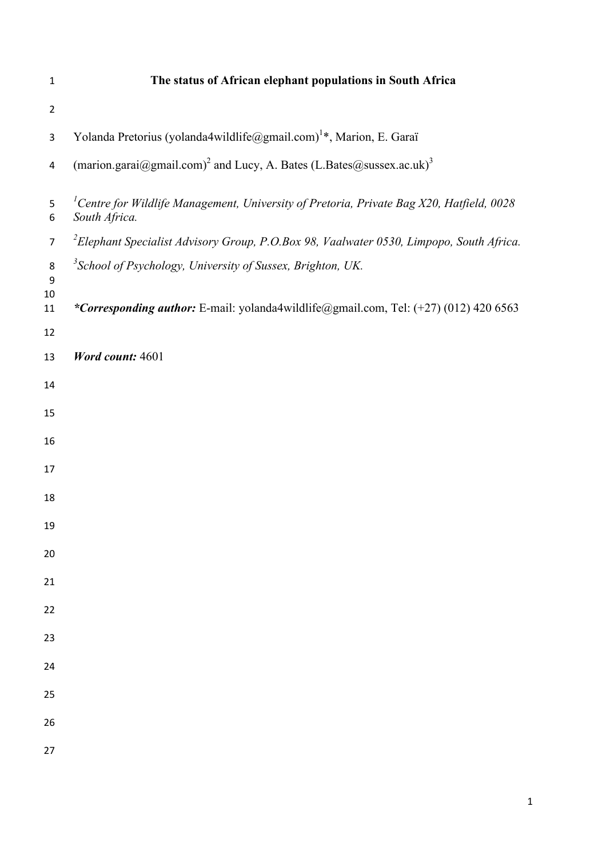| $\mathbf{1}$   | The status of African elephant populations in South Africa                                                            |
|----------------|-----------------------------------------------------------------------------------------------------------------------|
| $\overline{2}$ |                                                                                                                       |
| 3              | Yolanda Pretorius (yolanda4wildlife@gmail.com) <sup>1</sup> *, Marion, E. Garaï                                       |
| $\overline{4}$ | (marion.garai@gmail.com) <sup>2</sup> and Lucy, A. Bates (L.Bates@sussex.ac.uk) <sup>3</sup>                          |
| 5<br>6         | <sup>1</sup> Centre for Wildlife Management, University of Pretoria, Private Bag X20, Hatfield, 0028<br>South Africa. |
| $\overline{7}$ | <sup>2</sup> Elephant Specialist Advisory Group, P.O.Box 98, Vaalwater 0530, Limpopo, South Africa.                   |
| $\,8\,$<br>9   | <sup>3</sup> School of Psychology, University of Sussex, Brighton, UK.                                                |
| 10<br>11       | *Corresponding author: E-mail: yolanda4wildlife@gmail.com, Tel: (+27) (012) 420 6563                                  |
| 12             |                                                                                                                       |
| 13             | <b>Word count: 4601</b>                                                                                               |
| 14             |                                                                                                                       |
| 15             |                                                                                                                       |
| 16             |                                                                                                                       |
| 17             |                                                                                                                       |
| 18             |                                                                                                                       |
| 19             |                                                                                                                       |
| 20             |                                                                                                                       |
| 21             |                                                                                                                       |
| 22             |                                                                                                                       |
| 23             |                                                                                                                       |
| 24             |                                                                                                                       |
| 25             |                                                                                                                       |
| 26             |                                                                                                                       |
| 27             |                                                                                                                       |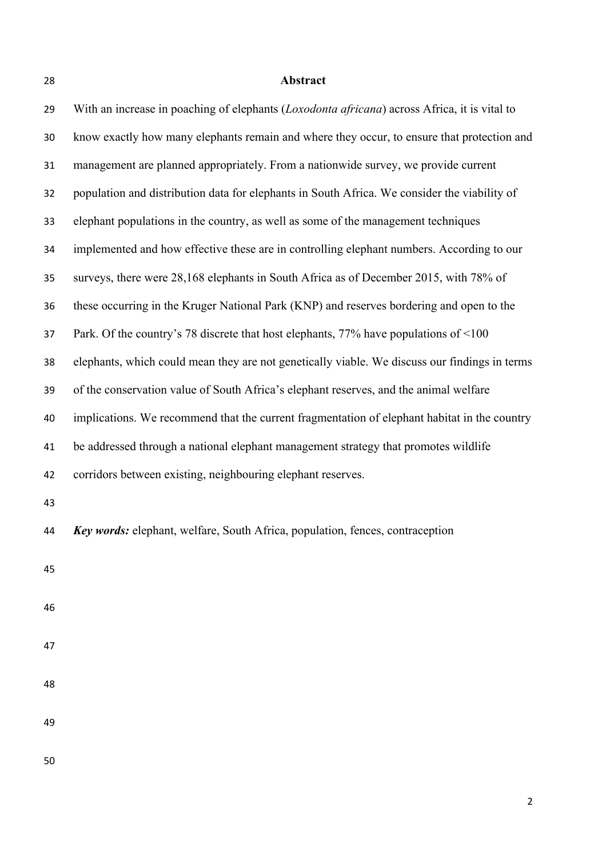# **Abstract**

| 29 | With an increase in poaching of elephants (Loxodonta africana) across Africa, it is vital to  |
|----|-----------------------------------------------------------------------------------------------|
| 30 | know exactly how many elephants remain and where they occur, to ensure that protection and    |
| 31 | management are planned appropriately. From a nationwide survey, we provide current            |
| 32 | population and distribution data for elephants in South Africa. We consider the viability of  |
| 33 | elephant populations in the country, as well as some of the management techniques             |
| 34 | implemented and how effective these are in controlling elephant numbers. According to our     |
| 35 | surveys, there were 28,168 elephants in South Africa as of December 2015, with 78% of         |
| 36 | these occurring in the Kruger National Park (KNP) and reserves bordering and open to the      |
| 37 | Park. Of the country's 78 discrete that host elephants, 77% have populations of <100          |
| 38 | elephants, which could mean they are not genetically viable. We discuss our findings in terms |
| 39 | of the conservation value of South Africa's elephant reserves, and the animal welfare         |
| 40 | implications. We recommend that the current fragmentation of elephant habitat in the country  |
| 41 | be addressed through a national elephant management strategy that promotes wildlife           |
| 42 | corridors between existing, neighbouring elephant reserves.                                   |
| 43 |                                                                                               |
| 44 | <b>Key words:</b> elephant, welfare, South Africa, population, fences, contraception          |
| 45 |                                                                                               |
|    |                                                                                               |
| 46 |                                                                                               |
| 47 |                                                                                               |
| 48 |                                                                                               |
|    |                                                                                               |
| 49 |                                                                                               |
| 50 |                                                                                               |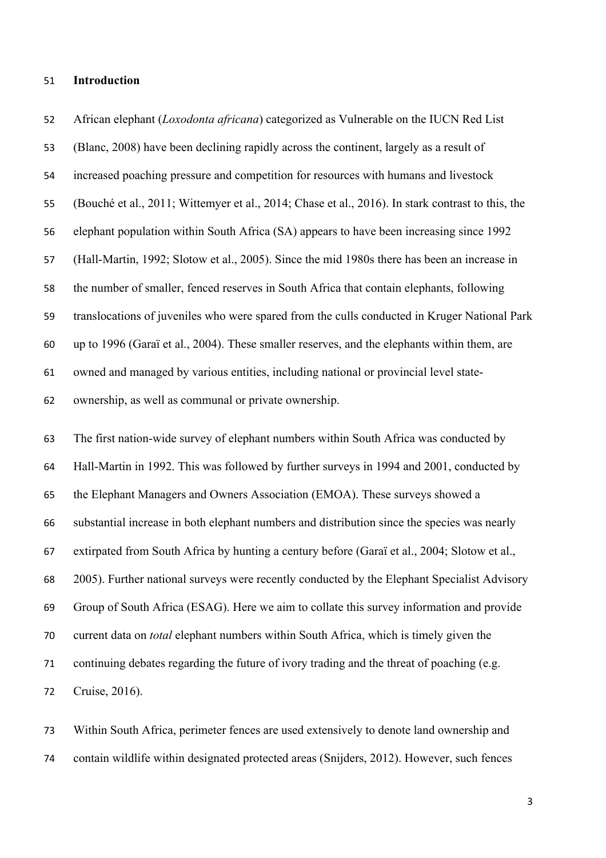#### **Introduction**

 African elephant (*Loxodonta africana*) categorized as Vulnerable on the IUCN Red List (Blanc, 2008) have been declining rapidly across the continent, largely as a result of increased poaching pressure and competition for resources with humans and livestock (Bouché et al., 2011; Wittemyer et al., 2014; Chase et al., 2016). In stark contrast to this, the elephant population within South Africa (SA) appears to have been increasing since 1992 (Hall-Martin, 1992; Slotow et al., 2005). Since the mid 1980s there has been an increase in the number of smaller, fenced reserves in South Africa that contain elephants, following translocations of juveniles who were spared from the culls conducted in Kruger National Park up to 1996 (Garaï et al., 2004). These smaller reserves, and the elephants within them, are owned and managed by various entities, including national or provincial level state-ownership, as well as communal or private ownership.

 The first nation-wide survey of elephant numbers within South Africa was conducted by Hall-Martin in 1992. This was followed by further surveys in 1994 and 2001, conducted by the Elephant Managers and Owners Association (EMOA). These surveys showed a substantial increase in both elephant numbers and distribution since the species was nearly extirpated from South Africa by hunting a century before (Garaï et al., 2004; Slotow et al., 2005). Further national surveys were recently conducted by the Elephant Specialist Advisory Group of South Africa (ESAG). Here we aim to collate this survey information and provide current data on *total* elephant numbers within South Africa, which is timely given the continuing debates regarding the future of ivory trading and the threat of poaching (e.g. Cruise, 2016).

 Within South Africa, perimeter fences are used extensively to denote land ownership and contain wildlife within designated protected areas (Snijders, 2012). However, such fences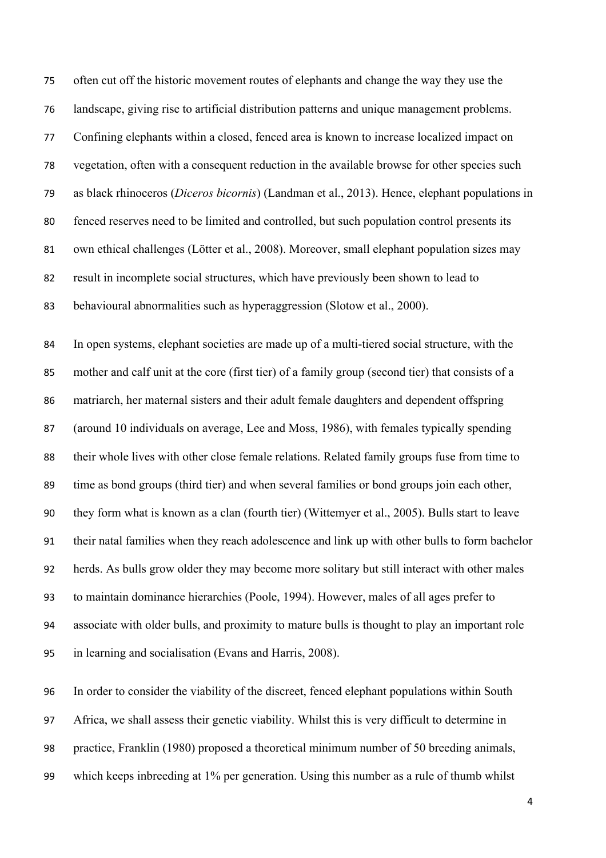often cut off the historic movement routes of elephants and change the way they use the landscape, giving rise to artificial distribution patterns and unique management problems. Confining elephants within a closed, fenced area is known to increase localized impact on vegetation, often with a consequent reduction in the available browse for other species such as black rhinoceros (*Diceros bicornis*) (Landman et al., 2013). Hence, elephant populations in fenced reserves need to be limited and controlled, but such population control presents its own ethical challenges (Lötter et al., 2008). Moreover, small elephant population sizes may result in incomplete social structures, which have previously been shown to lead to behavioural abnormalities such as hyperaggression (Slotow et al., 2000).

 In open systems, elephant societies are made up of a multi-tiered social structure, with the mother and calf unit at the core (first tier) of a family group (second tier) that consists of a matriarch, her maternal sisters and their adult female daughters and dependent offspring (around 10 individuals on average, Lee and Moss, 1986), with females typically spending their whole lives with other close female relations. Related family groups fuse from time to time as bond groups (third tier) and when several families or bond groups join each other, they form what is known as a clan (fourth tier) (Wittemyer et al., 2005). Bulls start to leave their natal families when they reach adolescence and link up with other bulls to form bachelor herds. As bulls grow older they may become more solitary but still interact with other males to maintain dominance hierarchies (Poole, 1994). However, males of all ages prefer to associate with older bulls, and proximity to mature bulls is thought to play an important role in learning and socialisation (Evans and Harris, 2008).

 In order to consider the viability of the discreet, fenced elephant populations within South Africa, we shall assess their genetic viability. Whilst this is very difficult to determine in practice, Franklin (1980) proposed a theoretical minimum number of 50 breeding animals, which keeps inbreeding at 1% per generation. Using this number as a rule of thumb whilst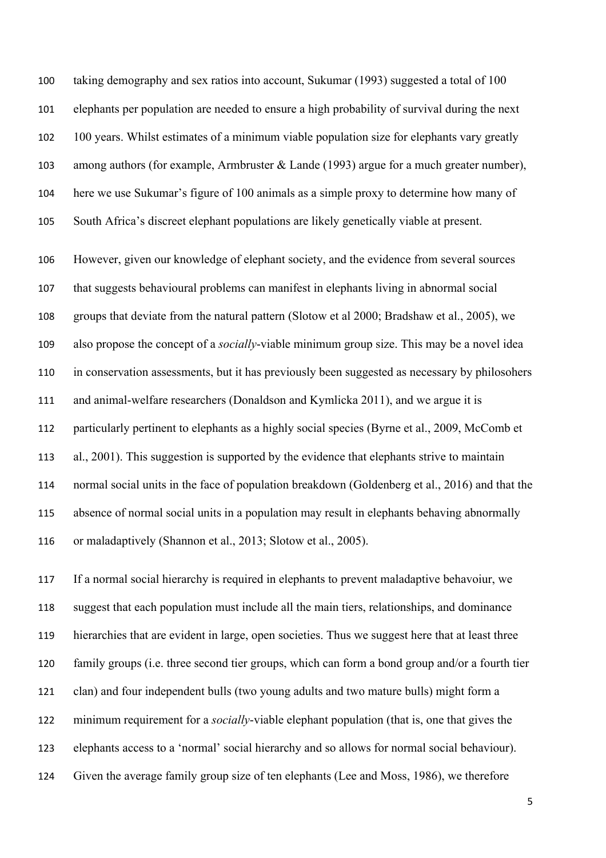taking demography and sex ratios into account, Sukumar (1993) suggested a total of 100 elephants per population are needed to ensure a high probability of survival during the next 100 years. Whilst estimates of a minimum viable population size for elephants vary greatly among authors (for example, Armbruster & Lande (1993) argue for a much greater number), here we use Sukumar's figure of 100 animals as a simple proxy to determine how many of South Africa's discreet elephant populations are likely genetically viable at present.

 However, given our knowledge of elephant society, and the evidence from several sources that suggests behavioural problems can manifest in elephants living in abnormal social groups that deviate from the natural pattern (Slotow et al 2000; Bradshaw et al., 2005), we also propose the concept of a *socially*-viable minimum group size. This may be a novel idea in conservation assessments, but it has previously been suggested as necessary by philosohers and animal-welfare researchers (Donaldson and Kymlicka 2011), and we argue it is particularly pertinent to elephants as a highly social species (Byrne et al., 2009, McComb et al., 2001). This suggestion is supported by the evidence that elephants strive to maintain normal social units in the face of population breakdown (Goldenberg et al., 2016) and that the absence of normal social units in a population may result in elephants behaving abnormally or maladaptively (Shannon et al., 2013; Slotow et al., 2005).

 If a normal social hierarchy is required in elephants to prevent maladaptive behavoiur, we suggest that each population must include all the main tiers, relationships, and dominance hierarchies that are evident in large, open societies. Thus we suggest here that at least three family groups (i.e. three second tier groups, which can form a bond group and/or a fourth tier clan) and four independent bulls (two young adults and two mature bulls) might form a minimum requirement for a *socially*-viable elephant population (that is, one that gives the elephants access to a 'normal' social hierarchy and so allows for normal social behaviour). Given the average family group size of ten elephants (Lee and Moss, 1986), we therefore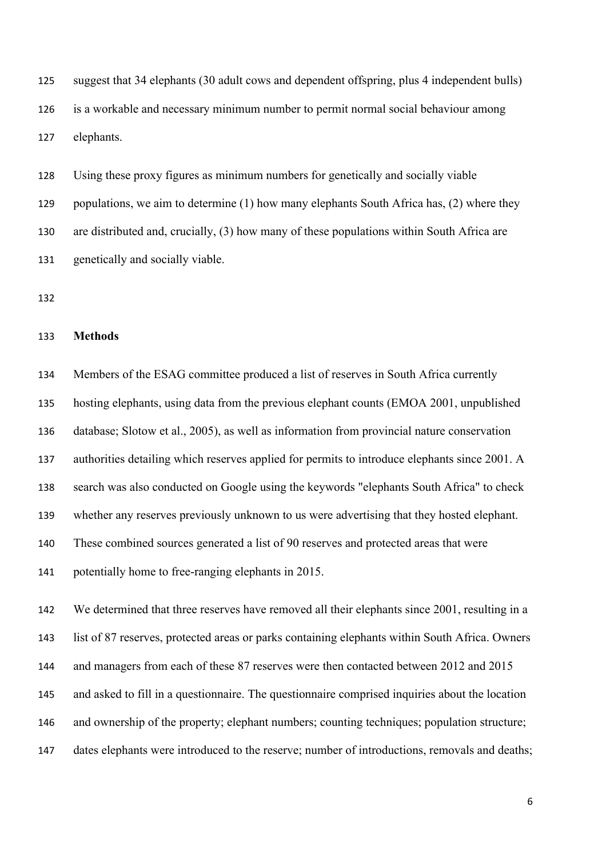suggest that 34 elephants (30 adult cows and dependent offspring, plus 4 independent bulls) is a workable and necessary minimum number to permit normal social behaviour among elephants.

 Using these proxy figures as minimum numbers for genetically and socially viable 129 populations, we aim to determine (1) how many elephants South Africa has, (2) where they are distributed and, crucially, (3) how many of these populations within South Africa are genetically and socially viable.

#### **Methods**

 Members of the ESAG committee produced a list of reserves in South Africa currently hosting elephants, using data from the previous elephant counts (EMOA 2001, unpublished database; Slotow et al., 2005), as well as information from provincial nature conservation authorities detailing which reserves applied for permits to introduce elephants since 2001. A search was also conducted on Google using the keywords "elephants South Africa" to check whether any reserves previously unknown to us were advertising that they hosted elephant. These combined sources generated a list of 90 reserves and protected areas that were potentially home to free-ranging elephants in 2015.

 We determined that three reserves have removed all their elephants since 2001, resulting in a list of 87 reserves, protected areas or parks containing elephants within South Africa. Owners and managers from each of these 87 reserves were then contacted between 2012 and 2015 and asked to fill in a questionnaire. The questionnaire comprised inquiries about the location and ownership of the property; elephant numbers; counting techniques; population structure; dates elephants were introduced to the reserve; number of introductions, removals and deaths;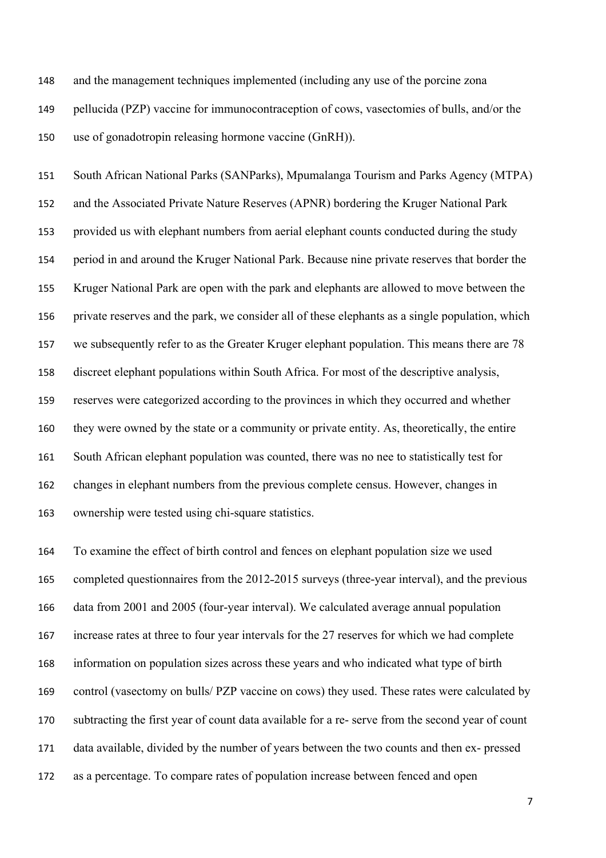and the management techniques implemented (including any use of the porcine zona pellucida (PZP) vaccine for immunocontraception of cows, vasectomies of bulls, and/or the use of gonadotropin releasing hormone vaccine (GnRH)).

 South African National Parks (SANParks), Mpumalanga Tourism and Parks Agency (MTPA) and the Associated Private Nature Reserves (APNR) bordering the Kruger National Park provided us with elephant numbers from aerial elephant counts conducted during the study period in and around the Kruger National Park. Because nine private reserves that border the Kruger National Park are open with the park and elephants are allowed to move between the private reserves and the park, we consider all of these elephants as a single population, which we subsequently refer to as the Greater Kruger elephant population. This means there are 78 discreet elephant populations within South Africa. For most of the descriptive analysis, reserves were categorized according to the provinces in which they occurred and whether they were owned by the state or a community or private entity. As, theoretically, the entire South African elephant population was counted, there was no nee to statistically test for changes in elephant numbers from the previous complete census. However, changes in ownership were tested using chi-square statistics.

 To examine the effect of birth control and fences on elephant population size we used 165 completed questionnaires from the 2012-2015 surveys (three-year interval), and the previous data from 2001 and 2005 (four-year interval). We calculated average annual population increase rates at three to four year intervals for the 27 reserves for which we had complete information on population sizes across these years and who indicated what type of birth control (vasectomy on bulls/ PZP vaccine on cows) they used. These rates were calculated by subtracting the first year of count data available for a re- serve from the second year of count data available, divided by the number of years between the two counts and then ex- pressed as a percentage. To compare rates of population increase between fenced and open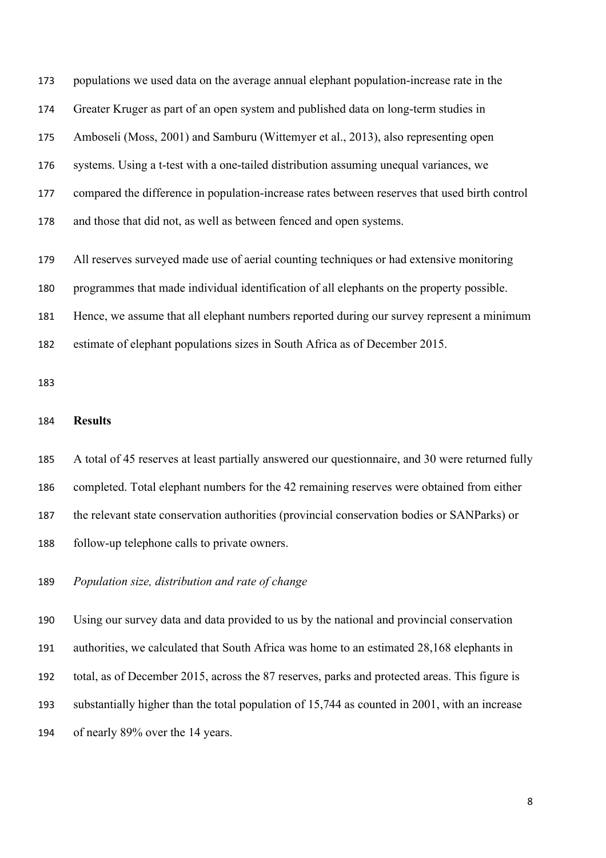populations we used data on the average annual elephant population-increase rate in the Greater Kruger as part of an open system and published data on long-term studies in Amboseli (Moss, 2001) and Samburu (Wittemyer et al., 2013), also representing open systems. Using a t-test with a one-tailed distribution assuming unequal variances, we compared the difference in population-increase rates between reserves that used birth control and those that did not, as well as between fenced and open systems.

All reserves surveyed made use of aerial counting techniques or had extensive monitoring

programmes that made individual identification of all elephants on the property possible.

Hence, we assume that all elephant numbers reported during our survey represent a minimum

estimate of elephant populations sizes in South Africa as of December 2015.

### **Results**

A total of 45 reserves at least partially answered our questionnaire, and 30 were returned fully

completed. Total elephant numbers for the 42 remaining reserves were obtained from either

the relevant state conservation authorities (provincial conservation bodies or SANParks) or

follow-up telephone calls to private owners.

*Population size, distribution and rate of change*

 Using our survey data and data provided to us by the national and provincial conservation authorities, we calculated that South Africa was home to an estimated 28,168 elephants in total, as of December 2015, across the 87 reserves, parks and protected areas. This figure is substantially higher than the total population of 15,744 as counted in 2001, with an increase of nearly 89% over the 14 years.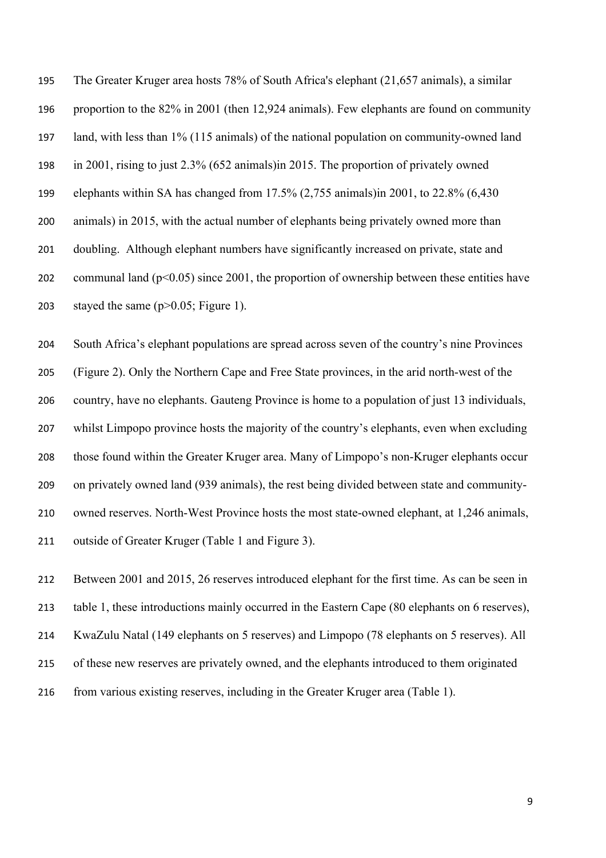The Greater Kruger area hosts 78% of South Africa's elephant (21,657 animals), a similar proportion to the 82% in 2001 (then 12,924 animals). Few elephants are found on community land, with less than 1% (115 animals) of the national population on community-owned land in 2001, rising to just 2.3% (652 animals)in 2015. The proportion of privately owned elephants within SA has changed from 17.5% (2,755 animals)in 2001, to 22.8% (6,430 animals) in 2015, with the actual number of elephants being privately owned more than doubling. Although elephant numbers have significantly increased on private, state and 202 communal land  $(p<0.05)$  since 2001, the proportion of ownership between these entities have 203 stayed the same  $(p>0.05;$  Figure 1).

 South Africa's elephant populations are spread across seven of the country's nine Provinces (Figure 2). Only the Northern Cape and Free State provinces, in the arid north-west of the country, have no elephants. Gauteng Province is home to a population of just 13 individuals, whilst Limpopo province hosts the majority of the country's elephants, even when excluding those found within the Greater Kruger area. Many of Limpopo's non-Kruger elephants occur on privately owned land (939 animals), the rest being divided between state and community- owned reserves. North-West Province hosts the most state-owned elephant, at 1,246 animals, outside of Greater Kruger (Table 1 and Figure 3).

 Between 2001 and 2015, 26 reserves introduced elephant for the first time. As can be seen in table 1, these introductions mainly occurred in the Eastern Cape (80 elephants on 6 reserves), KwaZulu Natal (149 elephants on 5 reserves) and Limpopo (78 elephants on 5 reserves). All of these new reserves are privately owned, and the elephants introduced to them originated from various existing reserves, including in the Greater Kruger area (Table 1).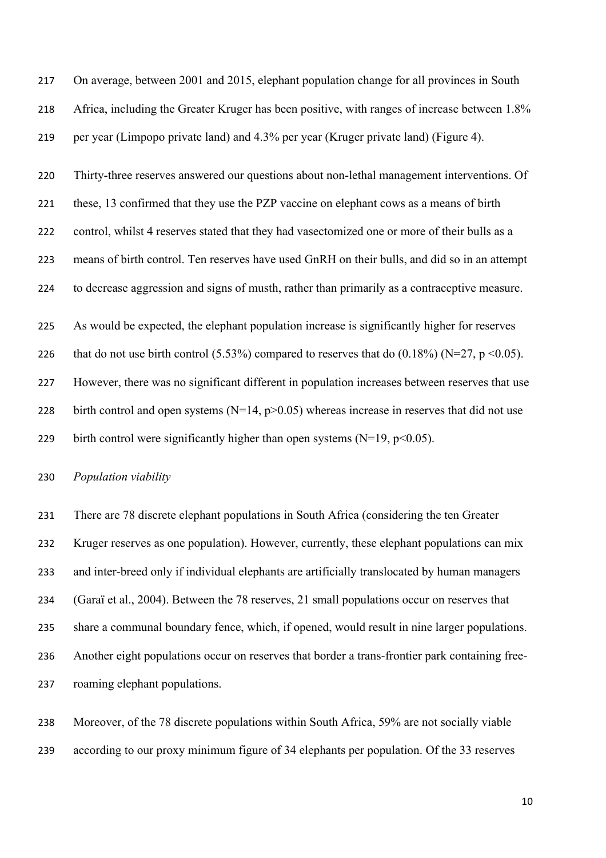On average, between 2001 and 2015, elephant population change for all provinces in South Africa, including the Greater Kruger has been positive, with ranges of increase between 1.8% per year (Limpopo private land) and 4.3% per year (Kruger private land) (Figure 4).

Thirty-three reserves answered our questions about non-lethal management interventions. Of

 these, 13 confirmed that they use the PZP vaccine on elephant cows as a means of birth control, whilst 4 reserves stated that they had vasectomized one or more of their bulls as a means of birth control. Ten reserves have used GnRH on their bulls, and did so in an attempt

to decrease aggression and signs of musth, rather than primarily as a contraceptive measure.

As would be expected, the elephant population increase is significantly higher for reserves

226 that do not use birth control  $(5.53\%)$  compared to reserves that do  $(0.18\%)$  (N=27, p <0.05).

However, there was no significant different in population increases between reserves that use

228 birth control and open systems  $(N=14, p>0.05)$  whereas increase in reserves that did not use

229 birth control were significantly higher than open systems  $(N=19, p<0.05)$ .

## *Population viability*

 There are 78 discrete elephant populations in South Africa (considering the ten Greater Kruger reserves as one population). However, currently, these elephant populations can mix and inter-breed only if individual elephants are artificially translocated by human managers (Garaï et al., 2004). Between the 78 reserves, 21 small populations occur on reserves that share a communal boundary fence, which, if opened, would result in nine larger populations. Another eight populations occur on reserves that border a trans-frontier park containing free-roaming elephant populations.

 Moreover, of the 78 discrete populations within South Africa, 59% are not socially viable according to our proxy minimum figure of 34 elephants per population. Of the 33 reserves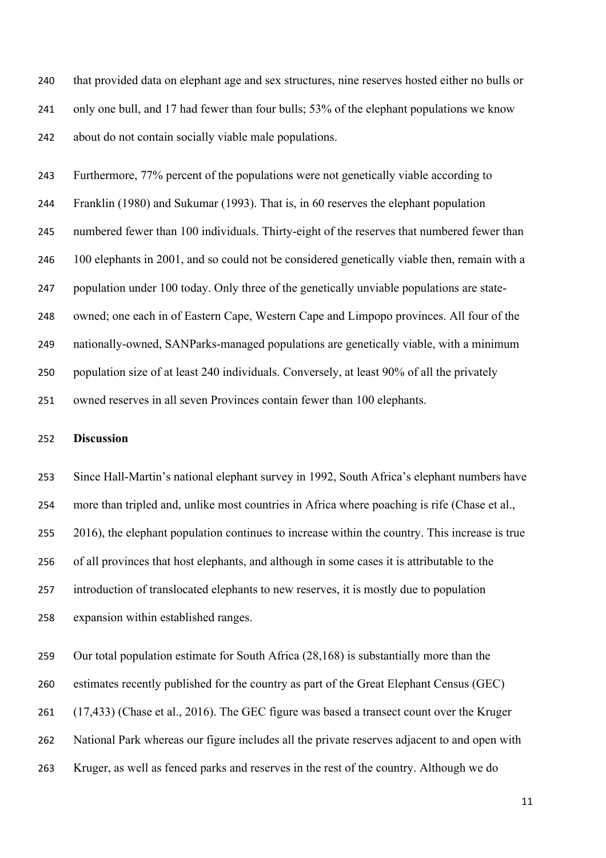that provided data on elephant age and sex structures, nine reserves hosted either no bulls or only one bull, and 17 had fewer than four bulls; 53% of the elephant populations we know about do not contain socially viable male populations.

 Furthermore, 77% percent of the populations were not genetically viable according to Franklin (1980) and Sukumar (1993). That is, in 60 reserves the elephant population numbered fewer than 100 individuals. Thirty-eight of the reserves that numbered fewer than 246 100 elephants in 2001, and so could not be considered genetically viable then, remain with a population under 100 today. Only three of the genetically unviable populations are state- owned; one each in of Eastern Cape, Western Cape and Limpopo provinces. All four of the nationally-owned, SANParks-managed populations are genetically viable, with a minimum population size of at least 240 individuals. Conversely, at least 90% of all the privately owned reserves in all seven Provinces contain fewer than 100 elephants.

#### **Discussion**

 Since Hall-Martin's national elephant survey in 1992, South Africa's elephant numbers have more than tripled and, unlike most countries in Africa where poaching is rife (Chase et al., 255 2016), the elephant population continues to increase within the country. This increase is true of all provinces that host elephants, and although in some cases it is attributable to the introduction of translocated elephants to new reserves, it is mostly due to population expansion within established ranges.

 Our total population estimate for South Africa (28,168) is substantially more than the estimates recently published for the country as part of the Great Elephant Census (GEC) (17,433) (Chase et al., 2016). The GEC figure was based a transect count over the Kruger National Park whereas our figure includes all the private reserves adjacent to and open with Kruger, as well as fenced parks and reserves in the rest of the country. Although we do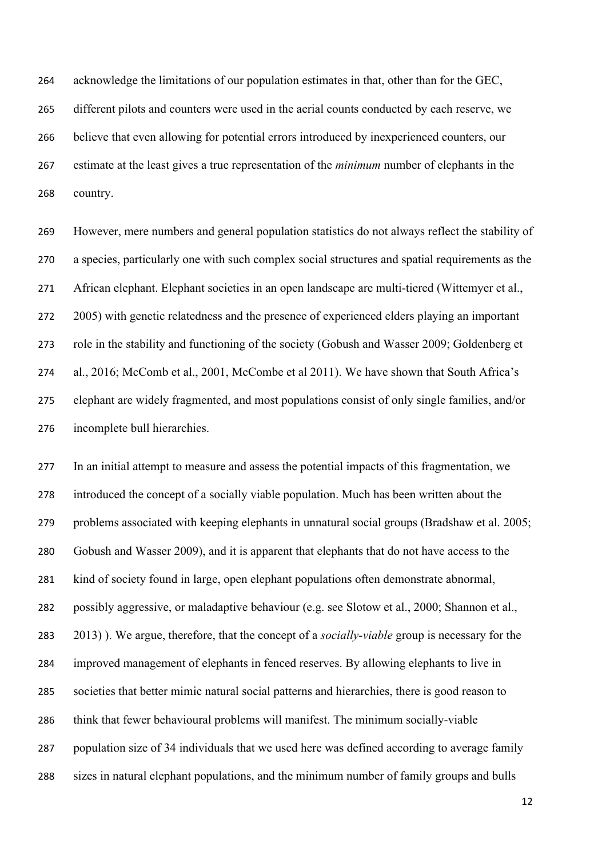acknowledge the limitations of our population estimates in that, other than for the GEC, different pilots and counters were used in the aerial counts conducted by each reserve, we believe that even allowing for potential errors introduced by inexperienced counters, our estimate at the least gives a true representation of the *minimum* number of elephants in the country.

 However, mere numbers and general population statistics do not always reflect the stability of a species, particularly one with such complex social structures and spatial requirements as the African elephant. Elephant societies in an open landscape are multi-tiered (Wittemyer et al., 2005) with genetic relatedness and the presence of experienced elders playing an important role in the stability and functioning of the society (Gobush and Wasser 2009; Goldenberg et al., 2016; McComb et al., 2001, McCombe et al 2011). We have shown that South Africa's elephant are widely fragmented, and most populations consist of only single families, and/or incomplete bull hierarchies.

 In an initial attempt to measure and assess the potential impacts of this fragmentation, we introduced the concept of a socially viable population. Much has been written about the problems associated with keeping elephants in unnatural social groups (Bradshaw et al. 2005; Gobush and Wasser 2009), and it is apparent that elephants that do not have access to the kind of society found in large, open elephant populations often demonstrate abnormal, possibly aggressive, or maladaptive behaviour (e.g. see Slotow et al., 2000; Shannon et al., 2013) ). We argue, therefore, that the concept of a *socially-viable* group is necessary for the improved management of elephants in fenced reserves. By allowing elephants to live in societies that better mimic natural social patterns and hierarchies, there is good reason to think that fewer behavioural problems will manifest. The minimum socially-viable population size of 34 individuals that we used here was defined according to average family sizes in natural elephant populations, and the minimum number of family groups and bulls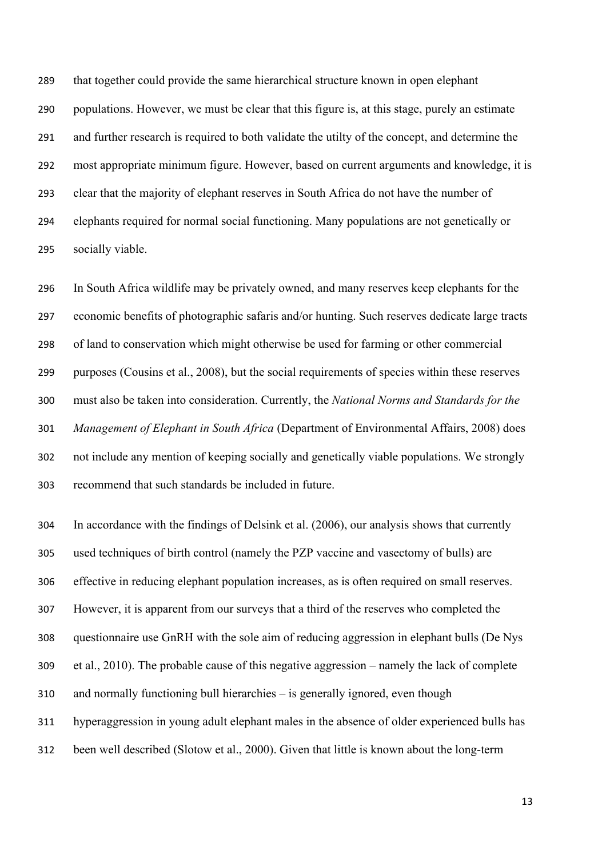that together could provide the same hierarchical structure known in open elephant populations. However, we must be clear that this figure is, at this stage, purely an estimate and further research is required to both validate the utilty of the concept, and determine the most appropriate minimum figure. However, based on current arguments and knowledge, it is clear that the majority of elephant reserves in South Africa do not have the number of elephants required for normal social functioning. Many populations are not genetically or socially viable.

 In South Africa wildlife may be privately owned, and many reserves keep elephants for the economic benefits of photographic safaris and/or hunting. Such reserves dedicate large tracts of land to conservation which might otherwise be used for farming or other commercial purposes (Cousins et al., 2008), but the social requirements of species within these reserves must also be taken into consideration. Currently, the *National Norms and Standards for the Management of Elephant in South Africa* (Department of Environmental Affairs, 2008) does not include any mention of keeping socially and genetically viable populations. We strongly recommend that such standards be included in future.

 In accordance with the findings of Delsink et al. (2006), our analysis shows that currently used techniques of birth control (namely the PZP vaccine and vasectomy of bulls) are effective in reducing elephant population increases, as is often required on small reserves. However, it is apparent from our surveys that a third of the reserves who completed the questionnaire use GnRH with the sole aim of reducing aggression in elephant bulls (De Nys et al., 2010). The probable cause of this negative aggression – namely the lack of complete and normally functioning bull hierarchies – is generally ignored, even though hyperaggression in young adult elephant males in the absence of older experienced bulls has been well described (Slotow et al., 2000). Given that little is known about the long-term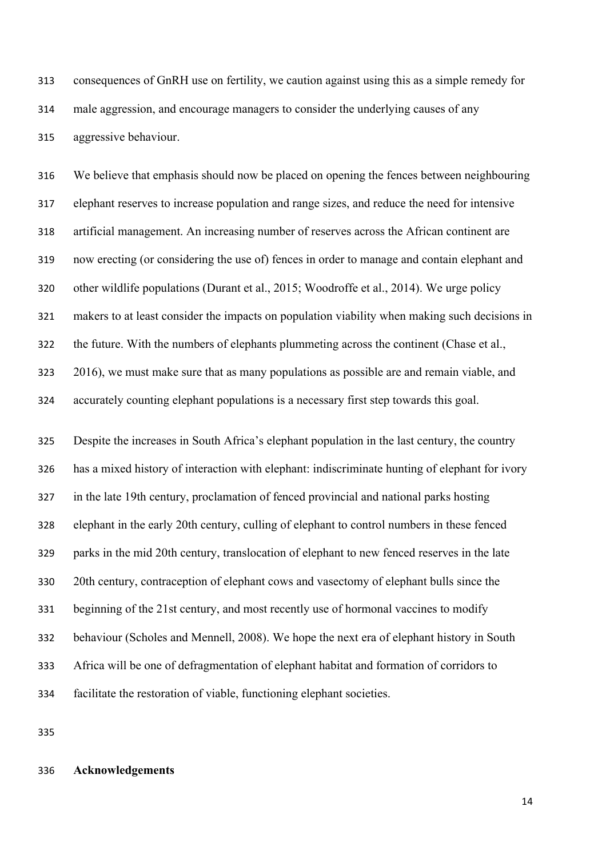consequences of GnRH use on fertility, we caution against using this as a simple remedy for male aggression, and encourage managers to consider the underlying causes of any aggressive behaviour.

 We believe that emphasis should now be placed on opening the fences between neighbouring elephant reserves to increase population and range sizes, and reduce the need for intensive artificial management. An increasing number of reserves across the African continent are now erecting (or considering the use of) fences in order to manage and contain elephant and other wildlife populations (Durant et al., 2015; Woodroffe et al., 2014). We urge policy makers to at least consider the impacts on population viability when making such decisions in the future. With the numbers of elephants plummeting across the continent (Chase et al., 2016), we must make sure that as many populations as possible are and remain viable, and accurately counting elephant populations is a necessary first step towards this goal.

 Despite the increases in South Africa's elephant population in the last century, the country has a mixed history of interaction with elephant: indiscriminate hunting of elephant for ivory in the late 19th century, proclamation of fenced provincial and national parks hosting elephant in the early 20th century, culling of elephant to control numbers in these fenced parks in the mid 20th century, translocation of elephant to new fenced reserves in the late 20th century, contraception of elephant cows and vasectomy of elephant bulls since the beginning of the 21st century, and most recently use of hormonal vaccines to modify behaviour (Scholes and Mennell, 2008). We hope the next era of elephant history in South Africa will be one of defragmentation of elephant habitat and formation of corridors to facilitate the restoration of viable, functioning elephant societies.

#### **Acknowledgements**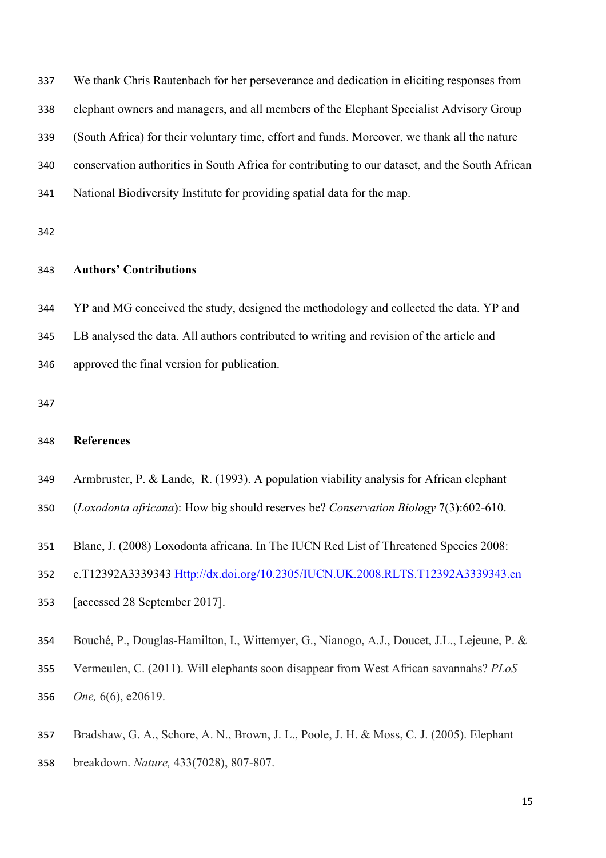| 337 | We thank Chris Rautenbach for her perseverance and dedication in eliciting responses from       |
|-----|-------------------------------------------------------------------------------------------------|
| 338 | elephant owners and managers, and all members of the Elephant Specialist Advisory Group         |
| 339 | (South Africa) for their voluntary time, effort and funds. Moreover, we thank all the nature    |
| 340 | conservation authorities in South Africa for contributing to our dataset, and the South African |
| 341 | National Biodiversity Institute for providing spatial data for the map.                         |

## **Authors' Contributions**

 YP and MG conceived the study, designed the methodology and collected the data. YP and LB analysed the data. All authors contributed to writing and revision of the article and approved the final version for publication.

# **References**

- Armbruster, P. & Lande, R. (1993). A population viability analysis for African elephant
- (*Loxodonta africana*): How big should reserves be? *Conservation Biology* 7(3):602-610.
- Blanc, J. (2008) Loxodonta africana. In The IUCN Red List of Threatened Species 2008:
- e.T12392A3339343 Http://dx.doi.org/10.2305/IUCN.UK.2008.RLTS.T12392A3339343.en
- [accessed 28 September 2017].
- Bouché, P., Douglas-Hamilton, I., Wittemyer, G., Nianogo, A.J., Doucet, J.L., Lejeune, P. &
- Vermeulen, C. (2011). Will elephants soon disappear from West African savannahs? *PLoS One,* 6(6), e20619.
- Bradshaw, G. A., Schore, A. N., Brown, J. L., Poole, J. H. & Moss, C. J. (2005). Elephant breakdown. *Nature,* 433(7028), 807-807.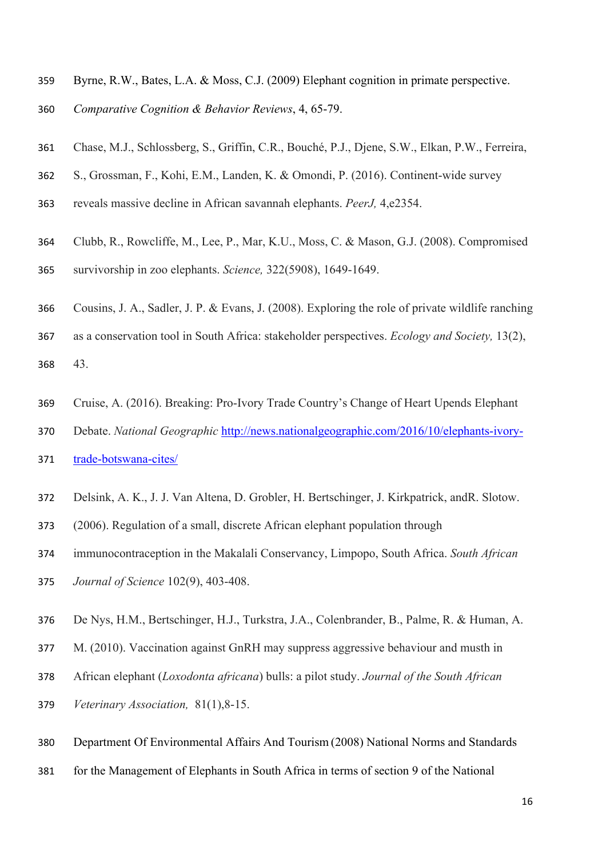- Byrne, R.W., Bates, L.A. & Moss, C.J. (2009) Elephant cognition in primate perspective.
- *Comparative Cognition & Behavior Reviews*, 4, 65-79.
- Chase, M.J., Schlossberg, S., Griffin, C.R., Bouché, P.J., Djene, S.W., Elkan, P.W., Ferreira,
- S., Grossman, F., Kohi, E.M., Landen, K. & Omondi, P. (2016). Continent-wide survey
- reveals massive decline in African savannah elephants. *PeerJ,* 4,e2354.
- Clubb, R., Rowcliffe, M., Lee, P., Mar, K.U., Moss, C. & Mason, G.J. (2008). Compromised
- survivorship in zoo elephants. *Science,* 322(5908), 1649-1649.
- Cousins, J. A., Sadler, J. P. & Evans, J. (2008). Exploring the role of private wildlife ranching
- as a conservation tool in South Africa: stakeholder perspectives. *Ecology and Society,* 13(2),
- 43.
- Cruise, A. (2016). Breaking: Pro-Ivory Trade Country's Change of Heart Upends Elephant
- Debate. *National Geographic* http://news.nationalgeographic.com/2016/10/elephants-ivory-
- trade-botswana-cites/
- Delsink, A. K., J. J. Van Altena, D. Grobler, H. Bertschinger, J. Kirkpatrick, andR. Slotow.
- (2006). Regulation of a small, discrete African elephant population through
- immunocontraception in the Makalali Conservancy, Limpopo, South Africa. *South African*
- *Journal of Science* 102(9), 403-408.
- De Nys, H.M., Bertschinger, H.J., Turkstra, J.A., Colenbrander, B., Palme, R. & Human, A.
- M. (2010). Vaccination against GnRH may suppress aggressive behaviour and musth in
- African elephant (*Loxodonta africana*) bulls: a pilot study. *Journal of the South African*
- *Veterinary Association,* 81(1),8-15.
- Department Of Environmental Affairs And Tourism (2008) National Norms and Standards
- for the Management of Elephants in South Africa in terms of section 9 of the National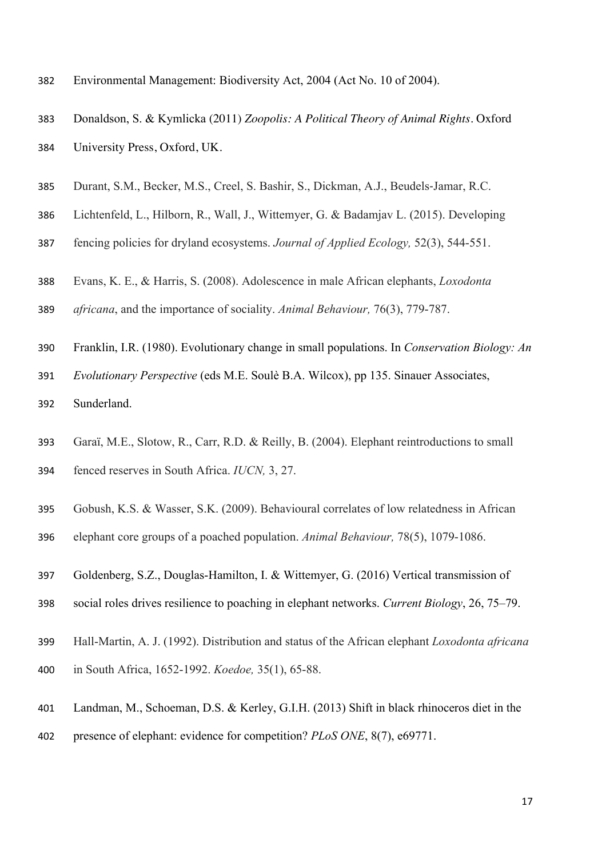- Environmental Management: Biodiversity Act, 2004 (Act No. 10 of 2004).
- Donaldson, S. & Kymlicka (2011) *Zoopolis: A Political Theory of Animal Rights*. Oxford
- University Press, Oxford, UK.
- Durant, S.M., Becker, M.S., Creel, S. Bashir, S., Dickman, A.J., Beudels-Jamar, R.C.
- Lichtenfeld, L., Hilborn, R., Wall, J., Wittemyer, G. & Badamjav L. (2015). Developing
- fencing policies for dryland ecosystems. *Journal of Applied Ecology,* 52(3), 544-551.
- Evans, K. E., & Harris, S. (2008). Adolescence in male African elephants, *Loxodonta*
- *africana*, and the importance of sociality. *Animal Behaviour,* 76(3), 779-787.
- Franklin, I.R. (1980). Evolutionary change in small populations. In *Conservation Biology: An*
- *Evolutionary Perspective* (eds M.E. Soulè B.A. Wilcox), pp 135. Sinauer Associates,
- Sunderland.
- Garaï, M.E., Slotow, R., Carr, R.D. & Reilly, B. (2004). Elephant reintroductions to small fenced reserves in South Africa. *IUCN,* 3, 27.
- Gobush, K.S. & Wasser, S.K. (2009). Behavioural correlates of low relatedness in African
- elephant core groups of a poached population. *Animal Behaviour,* 78(5), 1079-1086.
- Goldenberg, S.Z., Douglas-Hamilton, I. & Wittemyer, G. (2016) Vertical transmission of
- social roles drives resilience to poaching in elephant networks. *Current Biology*, 26, 75–79.
- Hall-Martin, A. J. (1992). Distribution and status of the African elephant *Loxodonta africana*
- in South Africa, 1652-1992. *Koedoe,* 35(1), 65-88.
- Landman, M., Schoeman, D.S. & Kerley, G.I.H. (2013) Shift in black rhinoceros diet in the
- presence of elephant: evidence for competition? *PLoS ONE*, 8(7), e69771.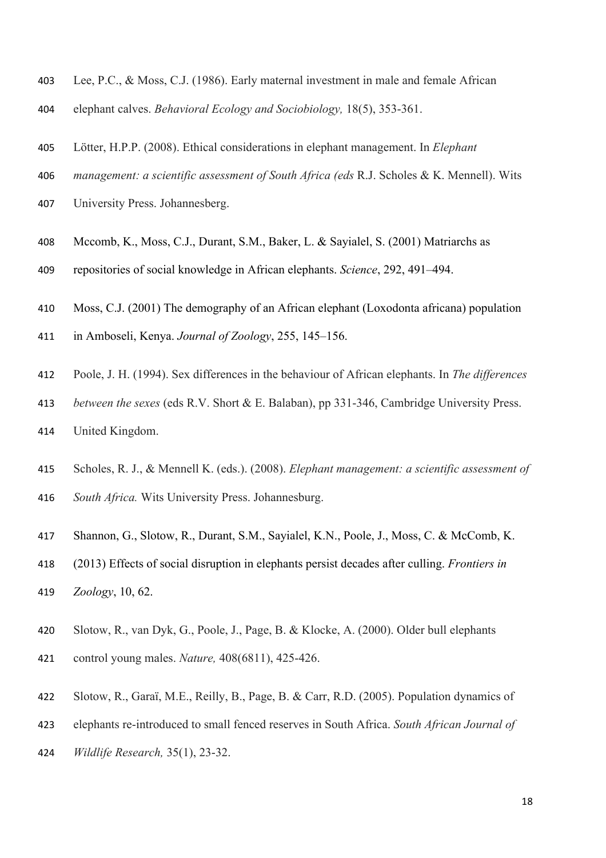- Lee, P.C., & Moss, C.J. (1986). Early maternal investment in male and female African
- elephant calves. *Behavioral Ecology and Sociobiology,* 18(5), 353-361.
- Lötter, H.P.P. (2008). Ethical considerations in elephant management. In *Elephant*
- *management: a scientific assessment of South Africa (eds* R.J. Scholes & K. Mennell). Wits
- University Press. Johannesberg.
- Mccomb, K., Moss, C.J., Durant, S.M., Baker, L. & Sayialel, S. (2001) Matriarchs as
- repositories of social knowledge in African elephants. *Science*, 292, 491–494.
- Moss, C.J. (2001) The demography of an African elephant (Loxodonta africana) population
- in Amboseli, Kenya. *Journal of Zoology*, 255, 145–156.
- Poole, J. H. (1994). Sex differences in the behaviour of African elephants. In *The differences*
- *between the sexes* (eds R.V. Short & E. Balaban), pp 331-346, Cambridge University Press.
- United Kingdom.
- Scholes, R. J., & Mennell K. (eds.). (2008). *Elephant management: a scientific assessment of South Africa.* Wits University Press. Johannesburg.
- Shannon, G., Slotow, R., Durant, S.M., Sayialel, K.N., Poole, J., Moss, C. & McComb, K.
- (2013) Effects of social disruption in elephants persist decades after culling. *Frontiers in Zoology*, 10, 62.
- Slotow, R., van Dyk, G., Poole, J., Page, B. & Klocke, A. (2000). Older bull elephants control young males. *Nature,* 408(6811), 425-426.
- Slotow, R., Garaï, M.E., Reilly, B., Page, B. & Carr, R.D. (2005). Population dynamics of
- elephants re-introduced to small fenced reserves in South Africa. *South African Journal of*
- *Wildlife Research,* 35(1), 23-32.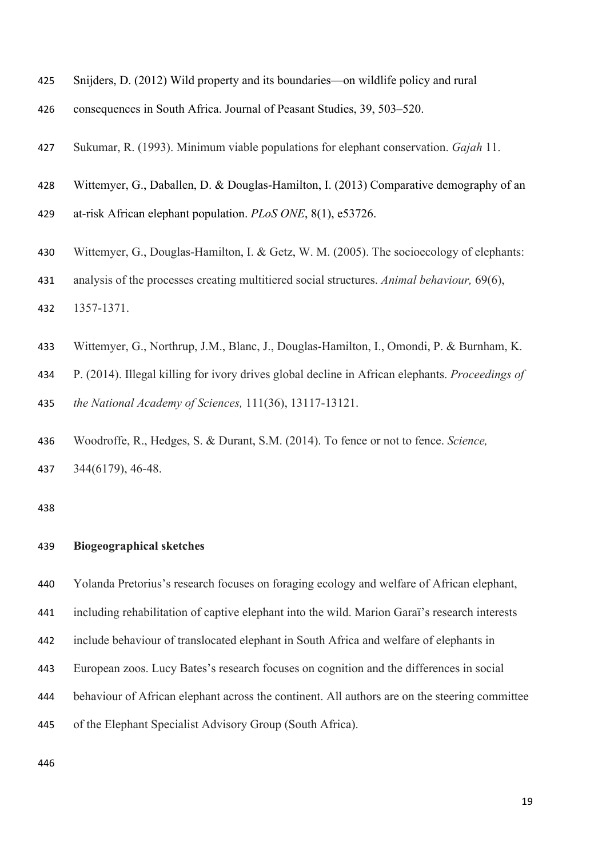- Snijders, D. (2012) Wild property and its boundaries—on wildlife policy and rural
- consequences in South Africa. Journal of Peasant Studies, 39, 503–520.
- Sukumar, R. (1993). Minimum viable populations for elephant conservation. *Gajah* 11.
- Wittemyer, G., Daballen, D. & Douglas-Hamilton, I. (2013) Comparative demography of an
- at-risk African elephant population. *PLoS ONE*, 8(1), e53726.
- Wittemyer, G., Douglas-Hamilton, I. & Getz, W. M. (2005). The socioecology of elephants:
- analysis of the processes creating multitiered social structures. *Animal behaviour,* 69(6),
- 1357-1371.
- Wittemyer, G., Northrup, J.M., Blanc, J., Douglas-Hamilton, I., Omondi, P. & Burnham, K.
- P. (2014). Illegal killing for ivory drives global decline in African elephants. *Proceedings of*

*the National Academy of Sciences,* 111(36), 13117-13121.

 Woodroffe, R., Hedges, S. & Durant, S.M. (2014). To fence or not to fence. *Science,* 344(6179), 46-48.

#### **Biogeographical sketches**

Yolanda Pretorius's research focuses on foraging ecology and welfare of African elephant,

including rehabilitation of captive elephant into the wild. Marion Garaï's research interests

include behaviour of translocated elephant in South Africa and welfare of elephants in

- European zoos. Lucy Bates's research focuses on cognition and the differences in social
- behaviour of African elephant across the continent. All authors are on the steering committee
- of the Elephant Specialist Advisory Group (South Africa).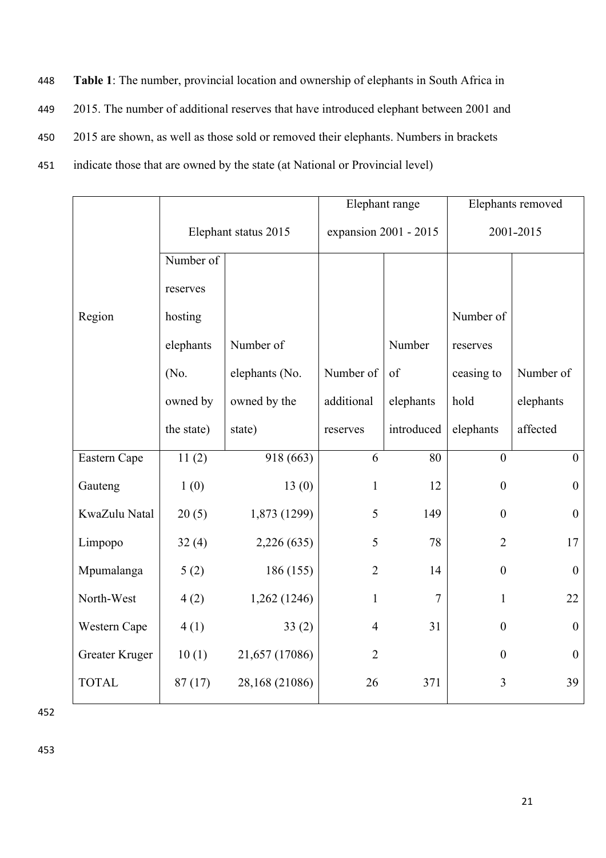448 **Table 1**: The number, provincial location and ownership of elephants in South Africa in

449 2015. The number of additional reserves that have introduced elephant between 2001 and

450 2015 are shown, as well as those sold or removed their elephants. Numbers in brackets

451 indicate those that are owned by the state (at National or Provincial level)

|                |                      |                | Elephant range        |            | Elephants removed |                  |
|----------------|----------------------|----------------|-----------------------|------------|-------------------|------------------|
|                | Elephant status 2015 |                | expansion 2001 - 2015 |            | 2001-2015         |                  |
|                | Number of            |                |                       |            |                   |                  |
|                | reserves             |                |                       |            |                   |                  |
| Region         | hosting              |                |                       |            | Number of         |                  |
|                | elephants            | Number of      |                       | Number     | reserves          |                  |
|                | (No.                 | elephants (No. | Number of             | of         | ceasing to        | Number of        |
|                | owned by             | owned by the   | additional            | elephants  | hold              | elephants        |
|                | the state)           | state)         | reserves              | introduced | elephants         | affected         |
| Eastern Cape   | 11(2)                | 918(663)       | 6                     | 80         | $\mathbf{0}$      | $\boldsymbol{0}$ |
| Gauteng        | 1(0)                 | 13(0)          | $\mathbf{1}$          | 12         | $\boldsymbol{0}$  | $\boldsymbol{0}$ |
| KwaZulu Natal  | 20(5)                | 1,873 (1299)   | 5                     | 149        | $\boldsymbol{0}$  | $\boldsymbol{0}$ |
| Limpopo        | 32(4)                | 2,226 (635)    | 5                     | 78         | $\overline{2}$    | 17               |
| Mpumalanga     | 5(2)                 | 186 (155)      | $\overline{2}$        | 14         | $\overline{0}$    | $\boldsymbol{0}$ |
| North-West     | 4(2)                 | 1,262 (1246)   | $\mathbf{1}$          | $\tau$     | $\mathbf{1}$      | 22               |
| Western Cape   | 4(1)                 | 33(2)          | $\overline{4}$        | 31         | $\boldsymbol{0}$  | $\boldsymbol{0}$ |
| Greater Kruger | 10(1)                | 21,657 (17086) | $\overline{2}$        |            | $\theta$          | $\boldsymbol{0}$ |
| <b>TOTAL</b>   | 87(17)               | 28,168 (21086) | 26                    | 371        | 3                 | 39               |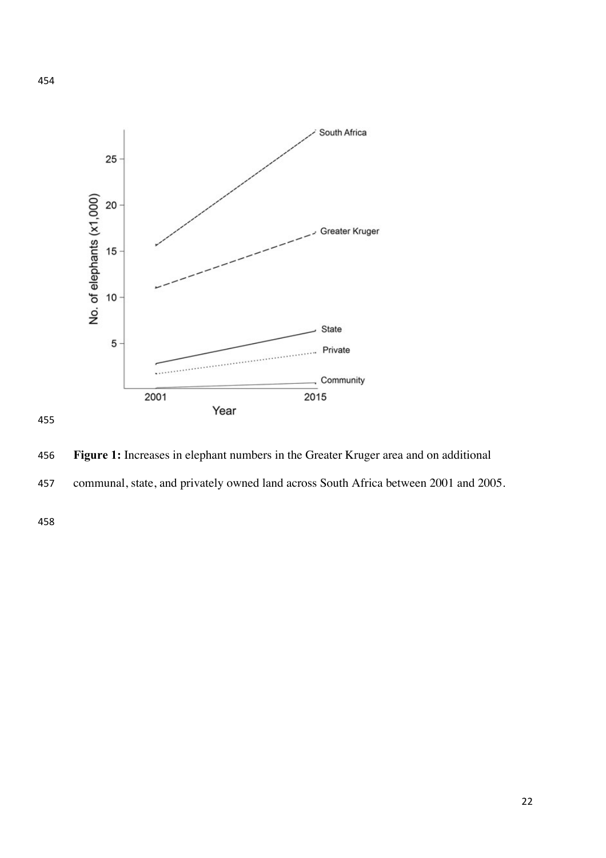



 communal, state, and privately owned land across South Africa between 2001 and 2005.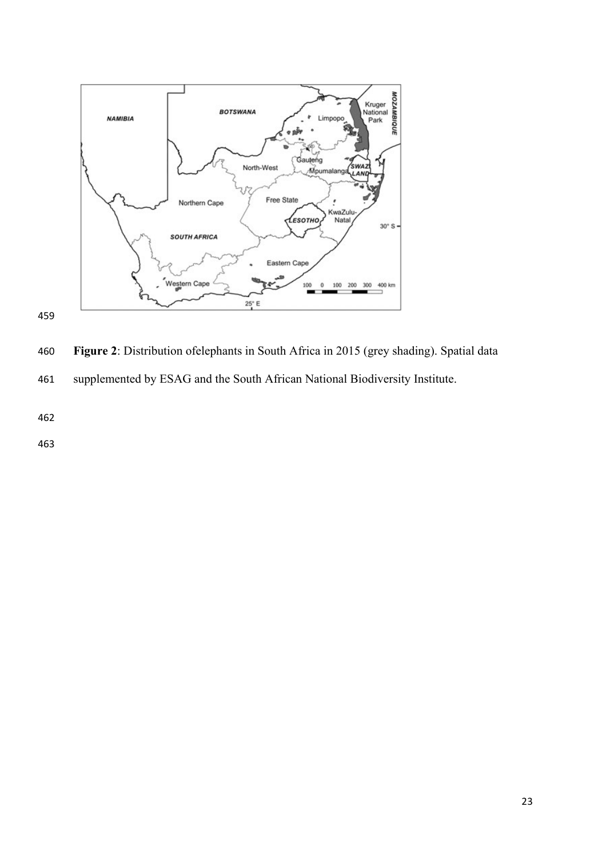

460 **Figure 2**: Distribution ofelephants in South Africa in 2015 (grey shading). Spatial data  $\frac{1}{\sqrt{2}}$ vincial conservation bodies or South African National shading). Spatial data supplemented by the Elephant Specialist **Figure 2**: Distribution of elephants in South Africa in 2015 (gregority)

461 supplemented by ESAG and the South African National Biodiversity Institute. Institute.

462

459

tionnaire, and were returned completed. The second completed completed completed completed. Total electronic<br>Total electronic state and alleged. The second completed completed completed. The second completed completed.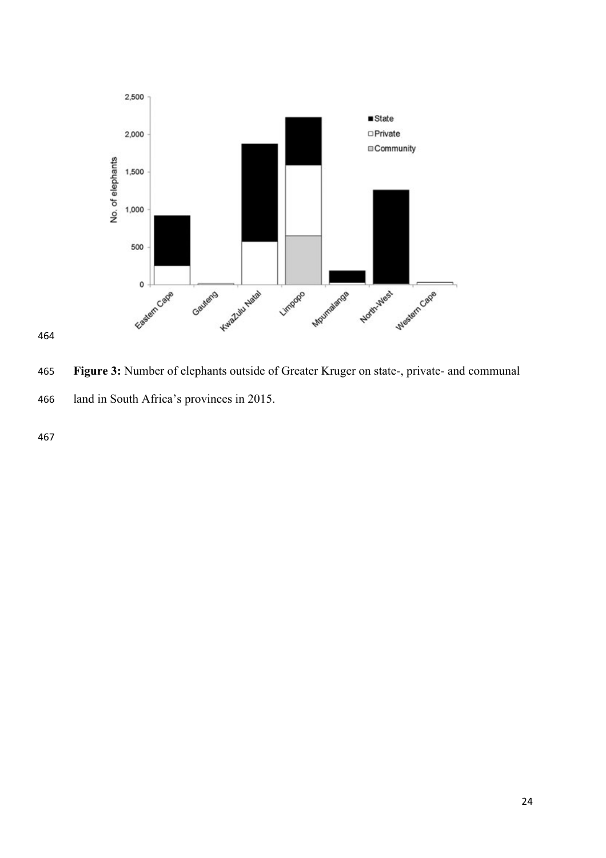

**Figure 3:** Number of elephants outside of Greater Kruger on state-, private- and communal land in South Africa's provinces in 2015.  $\frac{1}{2}$  difference in mean and percentage electron population  $\frac{1}{2}$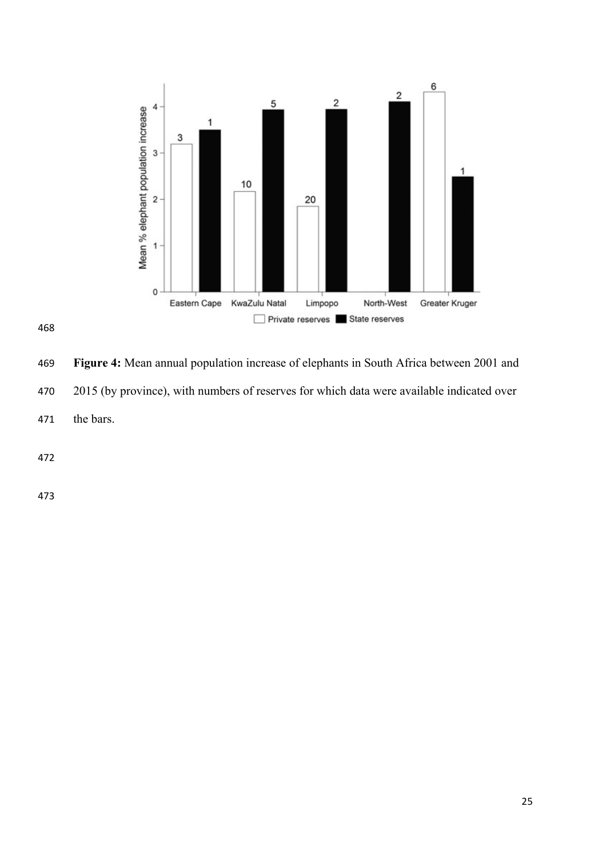



**Figure 4:** Mean annual population increase of elephants in South Africa between 2001 and 2015 (by province), with numbers of reserves for which data were available indicated over the bars.  $\mathbf{N}$  $\mathbf{r}$ for which depends in the bars of the bars.